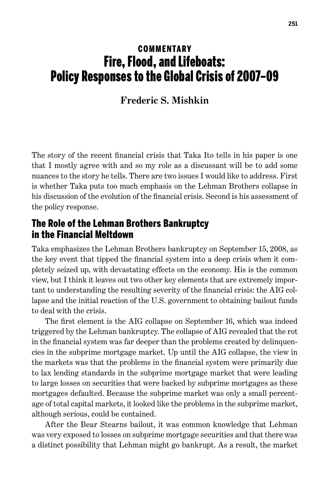## **COMMENTARY** Fire, Flood, and Lifeboats: Policy Responses to the Global Crisis of 2007–09

**Frederic S. Mishkin**

The story of the recent financial crisis that Taka Ito tells in his paper is one that I mostly agree with and so my role as a discussant will be to add some nuances to the story he tells. There are two issues I would like to address. First is whether Taka puts too much emphasis on the Lehman Brothers collapse in his discussion of the evolution of the financial crisis. Second is his assessment of the policy response.

## The Role of the Lehman Brothers Bankruptcy in the Financial Meltdown

Taka emphasizes the Lehman Brothers bankruptcy on September 15, 2008, as the key event that tipped the financial system into a deep crisis when it completely seized up, with devastating effects on the economy. His is the common view, but I think it leaves out two other key elements that are extremely important to understanding the resulting severity of the financial crisis: the AIG collapse and the initial reaction of the U.S. government to obtaining bailout funds to deal with the crisis.

The first element is the AIG collapse on September 16, which was indeed triggered by the Lehman bankruptcy. The collapse of AIG revealed that the rot in the financial system was far deeper than the problems created by delinquencies in the subprime mortgage market. Up until the AIG collapse, the view in the markets was that the problems in the financial system were primarily due to lax lending standards in the subprime mortgage market that were leading to large losses on securities that were backed by subprime mortgages as these mortgages defaulted. Because the subprime market was only a small percentage of total capital markets, it looked like the problems in the subprime market, although serious, could be contained.

After the Bear Stearns bailout, it was common knowledge that Lehman was very exposed to losses on subprime mortgage securities and that there was a distinct possibility that Lehman might go bankrupt. As a result, the market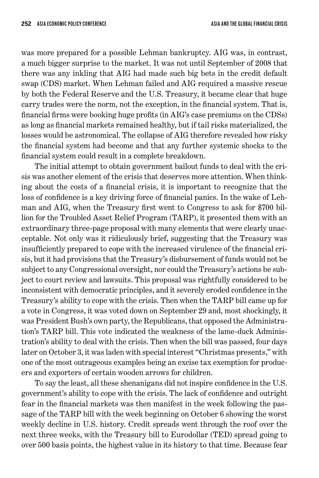was more prepared for a possible Lehman bankruptcy. AIG was, in contrast, a much bigger surprise to the market. It was not until September of 2008 that there was any inkling that AIG had made such big bets in the credit default swap (CDS) market. When Lehman failed and AIG required a massive rescue by both the Federal Reserve and the U.S. Treasury, it became clear that huge carry trades were the norm, not the exception, in the financial system. That is, financial firms were booking huge profits (in AIG's case premiums on the CDSs) as long as financial markets remained healthy, but if tail risks materialized, the losses would be astronomical. The collapse of AIG therefore revealed how risky the financial system had become and that any further systemic shocks to the financial system could result in a complete breakdown.

The initial attempt to obtain government bailout funds to deal with the crisis was another element of the crisis that deserves more attention. When thinking about the costs of a financial crisis, it is important to recognize that the loss of confidence is a key driving force of financial panics. In the wake of Lehman and AIG, when the Treasury first went to Congress to ask for \$700 billion for the Troubled Asset Relief Program (TARP), it presented them with an extraordinary three-page proposal with many elements that were clearly unacceptable. Not only was it ridiculously brief, suggesting that the Treasury was insufficiently prepared to cope with the increased virulence of the financial crisis, but it had provisions that the Treasury's disbursement of funds would not be subject to any Congressional oversight, nor could the Treasury's actions be subject to court review and lawsuits. This proposal was rightfully considered to be inconsistent with democratic principles, and it severely eroded confidence in the Treasury's ability to cope with the crisis. Then when the TARP bill came up for a vote in Congress, it was voted down on September 29 and, most shockingly, it was President Bush's own party, the Republicans, that opposed the Administration's TARP bill. This vote indicated the weakness of the lame-duck Administration's ability to deal with the crisis. Then when the bill was passed, four days later on October 3, it was laden with special interest "Christmas presents," with one of the most outrageous examples being an excise tax exemption for producers and exporters of certain wooden arrows for children.

To say the least, all these shenanigans did not inspire confidence in the U.S. government's ability to cope with the crisis. The lack of confidence and outright fear in the financial markets was then manifest in the week following the passage of the TARP bill with the week beginning on October 6 showing the worst weekly decline in U.S. history. Credit spreads went through the roof over the next three weeks, with the Treasury bill to Eurodollar (TED) spread going to over 500 basis points, the highest value in its history to that time. Because fear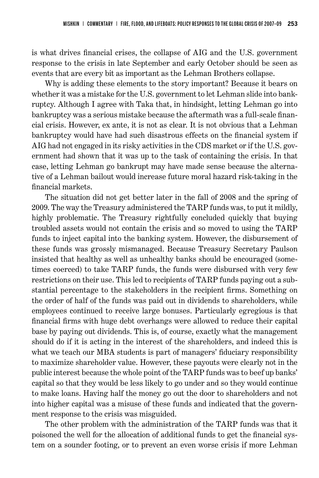is what drives financial crises, the collapse of AIG and the U.S. government response to the crisis in late September and early October should be seen as events that are every bit as important as the Lehman Brothers collapse.

Why is adding these elements to the story important? Because it bears on whether it was a mistake for the U.S. government to let Lehman slide into bankruptcy. Although I agree with Taka that, in hindsight, letting Lehman go into bankruptcy was a serious mistake because the aftermath was a full-scale financial crisis. However, ex ante, it is not as clear. It is not obvious that a Lehman bankruptcy would have had such disastrous effects on the financial system if AIG had not engaged in its risky activities in the CDS market or if the U.S. government had shown that it was up to the task of containing the crisis. In that case, letting Lehman go bankrupt may have made sense because the alternative of a Lehman bailout would increase future moral hazard risk-taking in the financial markets.

The situation did not get better later in the fall of 2008 and the spring of 2009. The way the Treasury administered the TARP funds was, to put it mildly, highly problematic. The Treasury rightfully concluded quickly that buying troubled assets would not contain the crisis and so moved to using the TARP funds to inject capital into the banking system. However, the disbursement of these funds was grossly mismanaged. Because Treasury Secretary Paulson insisted that healthy as well as unhealthy banks should be encouraged (sometimes coerced) to take TARP funds, the funds were disbursed with very few restrictions on their use. This led to recipients of TARP funds paying out a substantial percentage to the stakeholders in the recipient firms. Something on the order of half of the funds was paid out in dividends to shareholders, while employees continued to receive large bonuses. Particularly egregious is that financial firms with huge debt overhangs were allowed to reduce their capital base by paying out dividends. This is, of course, exactly what the management should do if it is acting in the interest of the shareholders, and indeed this is what we teach our MBA students is part of managers' fiduciary responsibility to maximize shareholder value. However, these payouts were clearly not in the public interest because the whole point of the TARP funds was to beef up banks' capital so that they would be less likely to go under and so they would continue to make loans. Having half the money go out the door to shareholders and not into higher capital was a misuse of these funds and indicated that the government response to the crisis was misguided.

The other problem with the administration of the TARP funds was that it poisoned the well for the allocation of additional funds to get the financial system on a sounder footing, or to prevent an even worse crisis if more Lehman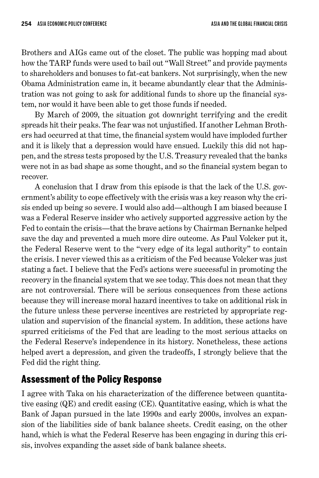Brothers and AIGs came out of the closet. The public was hopping mad about how the TARP funds were used to bail out "Wall Street" and provide payments to shareholders and bonuses to fat-cat bankers. Not surprisingly, when the new Obama Administration came in, it became abundantly clear that the Administration was not going to ask for additional funds to shore up the financial system, nor would it have been able to get those funds if needed.

By March of 2009, the situation got downright terrifying and the credit spreads hit their peaks. The fear was not unjustified. If another Lehman Brothers had occurred at that time, the financial system would have imploded further and it is likely that a depression would have ensued. Luckily this did not happen, and the stress tests proposed by the U.S. Treasury revealed that the banks were not in as bad shape as some thought, and so the financial system began to recover.

A conclusion that I draw from this episode is that the lack of the U.S. government's ability to cope effectively with the crisis was a key reason why the crisis ended up being so severe. I would also add—although I am biased because I was a Federal Reserve insider who actively supported aggressive action by the Fed to contain the crisis—that the brave actions by Chairman Bernanke helped save the day and prevented a much more dire outcome. As Paul Volcker put it, the Federal Reserve went to the "very edge of its legal authority" to contain the crisis. I never viewed this as a criticism of the Fed because Volcker was just stating a fact. I believe that the Fed's actions were successful in promoting the recovery in the financial system that we see today. This does not mean that they are not controversial. There will be serious consequences from these actions because they will increase moral hazard incentives to take on additional risk in the future unless these perverse incentives are restricted by appropriate regulation and supervision of the financial system. In addition, these actions have spurred criticisms of the Fed that are leading to the most serious attacks on the Federal Reserve's independence in its history. Nonetheless, these actions helped avert a depression, and given the tradeoffs, I strongly believe that the Fed did the right thing.

## Assessment of the Policy Response

I agree with Taka on his characterization of the difference between quantitative easing (QE) and credit easing (CE). Quantitative easing, which is what the Bank of Japan pursued in the late 1990s and early 2000s, involves an expansion of the liabilities side of bank balance sheets. Credit easing, on the other hand, which is what the Federal Reserve has been engaging in during this crisis, involves expanding the asset side of bank balance sheets.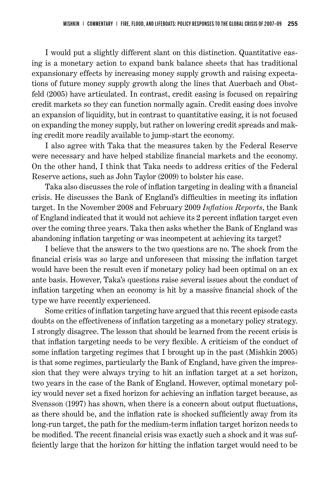I would put a slightly different slant on this distinction. Quantitative easing is a monetary action to expand bank balance sheets that has traditional expansionary effects by increasing money supply growth and raising expectations of future money supply growth along the lines that Auerbach and Obstfeld (2005) have articulated. In contrast, credit easing is focused on repairing credit markets so they can function normally again. Credit easing does involve an expansion of liquidity, but in contrast to quantitative easing, it is not focused on expanding the money supply, but rather on lowering credit spreads and making credit more readily available to jump-start the economy.

I also agree with Taka that the measures taken by the Federal Reserve were necessary and have helped stabilize financial markets and the economy. On the other hand, I think that Taka needs to address critics of the Federal Reserve actions, such as John Taylor (2009) to bolster his case.

Taka also discusses the role of inflation targeting in dealing with a financial crisis. He discusses the Bank of England's difficulties in meeting its inflation target. In the November 2008 and February 2009 *Inflation Reports*, the Bank of England indicated that it would not achieve its 2 percent inflation target even over the coming three years. Taka then asks whether the Bank of England was abandoning inflation targeting or was incompetent at achieving its target?

I believe that the answers to the two questions are no. The shock from the financial crisis was so large and unforeseen that missing the inflation target would have been the result even if monetary policy had been optimal on an ex ante basis. However, Taka's questions raise several issues about the conduct of inflation targeting when an economy is hit by a massive financial shock of the type we have recently experienced.

Some critics of inflation targeting have argued that this recent episode casts doubts on the effectiveness of inflation targeting as a monetary policy strategy. I strongly disagree. The lesson that should be learned from the recent crisis is that inflation targeting needs to be very flexible. A criticism of the conduct of some inflation targeting regimes that I brought up in the past (Mishkin 2005) is that some regimes, particularly the Bank of England, have given the impression that they were always trying to hit an inflation target at a set horizon, two years in the case of the Bank of England. However, optimal monetary policy would never set a fixed horizon for achieving an inflation target because, as Svensson (1997) has shown, when there is a concern about output fluctuations, as there should be, and the inflation rate is shocked sufficiently away from its long-run target, the path for the medium-term inflation target horizon needs to be modified. The recent financial crisis was exactly such a shock and it was sufficiently large that the horizon for hitting the inflation target would need to be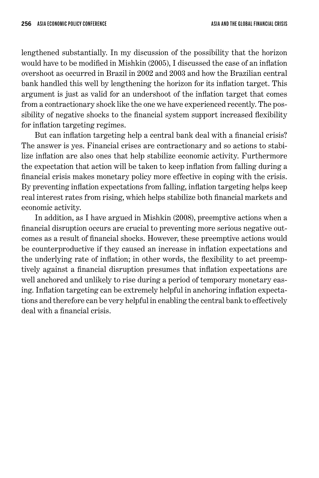lengthened substantially. In my discussion of the possibility that the horizon would have to be modified in Mishkin (2005), I discussed the case of an inflation overshoot as occurred in Brazil in 2002 and 2003 and how the Brazilian central bank handled this well by lengthening the horizon for its inflation target. This argument is just as valid for an undershoot of the inflation target that comes from a contractionary shock like the one we have experienced recently. The possibility of negative shocks to the financial system support increased flexibility for inflation targeting regimes.

But can inflation targeting help a central bank deal with a financial crisis? The answer is yes. Financial crises are contractionary and so actions to stabilize inflation are also ones that help stabilize economic activity. Furthermore the expectation that action will be taken to keep inflation from falling during a financial crisis makes monetary policy more effective in coping with the crisis. By preventing inflation expectations from falling, inflation targeting helps keep real interest rates from rising, which helps stabilize both financial markets and economic activity.

In addition, as I have argued in Mishkin (2008), preemptive actions when a financial disruption occurs are crucial to preventing more serious negative outcomes as a result of financial shocks. However, these preemptive actions would be counterproductive if they caused an increase in inflation expectations and the underlying rate of inflation; in other words, the flexibility to act preemptively against a financial disruption presumes that inflation expectations are well anchored and unlikely to rise during a period of temporary monetary easing. Inflation targeting can be extremely helpful in anchoring inflation expectations and therefore can be very helpful in enabling the central bank to effectively deal with a financial crisis.